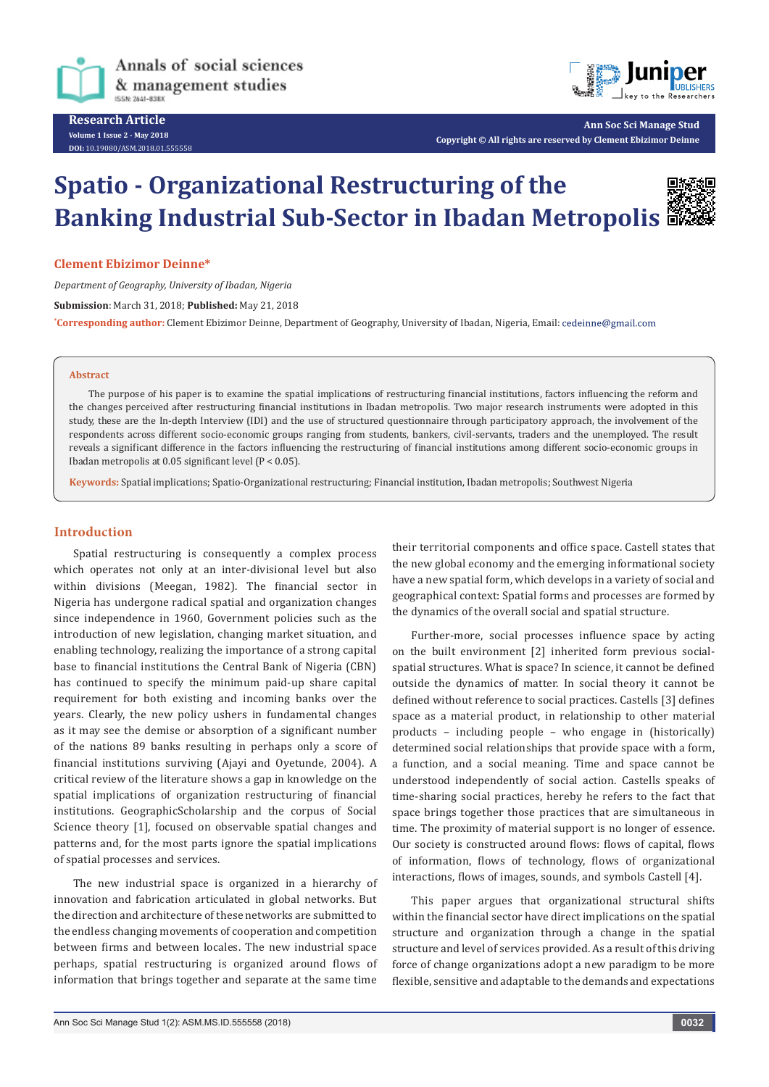

**Research Article Volume 1 Issue 2 - May 2018 DOI:** [10.19080/ASM.2018.01.555558](http://dx.doi.org/10.19080/ASM.2018.01.555558
)



**Ann Soc Sci Manage Stud Copyright © All rights are reserved by Clement Ebizimor Deinne**

# **Spatio - Organizational Restructuring of the Banking Industrial Sub-Sector in Ibadan Metropolis**



#### **Clement Ebizimor Deinne\***

*Department of Geography, University of Ibadan, Nigeria*

**Submission**: March 31, 2018; **Published:** May 21, 2018

**\* Corresponding author:** Clement Ebizimor Deinne, Department of Geography, University of Ibadan, Nigeria, Email:

#### **Abstract**

The purpose of his paper is to examine the spatial implications of restructuring financial institutions, factors influencing the reform and the changes perceived after restructuring financial institutions in Ibadan metropolis. Two major research instruments were adopted in this study, these are the In-depth Interview (IDI) and the use of structured questionnaire through participatory approach, the involvement of the respondents across different socio-economic groups ranging from students, bankers, civil-servants, traders and the unemployed. The result reveals a significant difference in the factors influencing the restructuring of financial institutions among different socio-economic groups in Ibadan metropolis at 0.05 significant level (P < 0.05).

**Keywords:** Spatial implications; Spatio-Organizational restructuring; Financial institution, Ibadan metropolis; Southwest Nigeria

## **Introduction**

Spatial restructuring is consequently a complex process which operates not only at an inter-divisional level but also within divisions (Meegan, 1982). The financial sector in Nigeria has undergone radical spatial and organization changes since independence in 1960, Government policies such as the introduction of new legislation, changing market situation, and enabling technology, realizing the importance of a strong capital base to financial institutions the Central Bank of Nigeria (CBN) has continued to specify the minimum paid-up share capital requirement for both existing and incoming banks over the years. Clearly, the new policy ushers in fundamental changes as it may see the demise or absorption of a significant number of the nations 89 banks resulting in perhaps only a score of financial institutions surviving (Ajayi and Oyetunde, 2004). A critical review of the literature shows a gap in knowledge on the spatial implications of organization restructuring of financial institutions. GeographicScholarship and the corpus of Social Science theory [1], focused on observable spatial changes and patterns and, for the most parts ignore the spatial implications of spatial processes and services.

The new industrial space is organized in a hierarchy of innovation and fabrication articulated in global networks. But the direction and architecture of these networks are submitted to the endless changing movements of cooperation and competition between firms and between locales. The new industrial space perhaps, spatial restructuring is organized around flows of information that brings together and separate at the same time

their territorial components and office space. Castell states that the new global economy and the emerging informational society have a new spatial form, which develops in a variety of social and geographical context: Spatial forms and processes are formed by the dynamics of the overall social and spatial structure.

Further-more, social processes influence space by acting on the built environment [2] inherited form previous socialspatial structures. What is space? In science, it cannot be defined outside the dynamics of matter. In social theory it cannot be defined without reference to social practices. Castells [3] defines space as a material product, in relationship to other material products – including people – who engage in (historically) determined social relationships that provide space with a form, a function, and a social meaning. Time and space cannot be understood independently of social action. Castells speaks of time-sharing social practices, hereby he refers to the fact that space brings together those practices that are simultaneous in time. The proximity of material support is no longer of essence. Our society is constructed around flows: flows of capital, flows of information, flows of technology, flows of organizational interactions, flows of images, sounds, and symbols Castell [4].

This paper argues that organizational structural shifts within the financial sector have direct implications on the spatial structure and organization through a change in the spatial structure and level of services provided. As a result of this driving force of change organizations adopt a new paradigm to be more flexible, sensitive and adaptable to the demands and expectations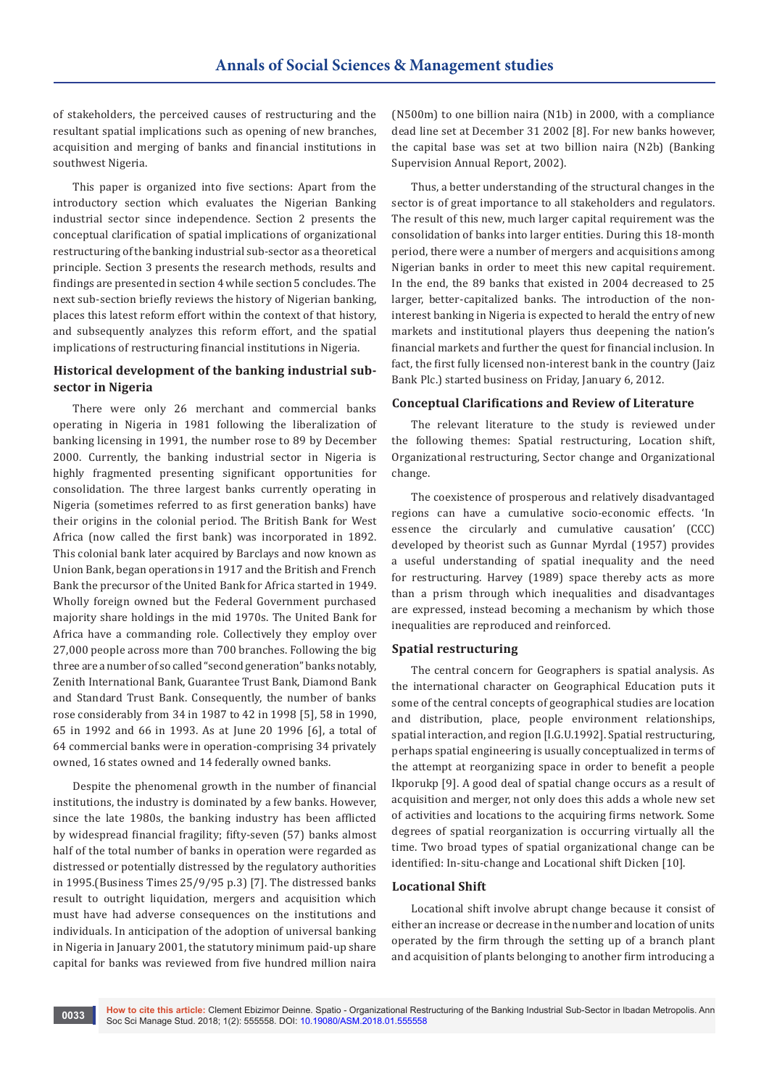of stakeholders, the perceived causes of restructuring and the resultant spatial implications such as opening of new branches, acquisition and merging of banks and financial institutions in southwest Nigeria.

This paper is organized into five sections: Apart from the introductory section which evaluates the Nigerian Banking industrial sector since independence. Section 2 presents the conceptual clarification of spatial implications of organizational restructuring of the banking industrial sub-sector as a theoretical principle. Section 3 presents the research methods, results and findings are presented in section 4 while section 5 concludes. The next sub-section briefly reviews the history of Nigerian banking, places this latest reform effort within the context of that history, and subsequently analyzes this reform effort, and the spatial implications of restructuring financial institutions in Nigeria.

## **Historical development of the banking industrial subsector in Nigeria**

There were only 26 merchant and commercial banks operating in Nigeria in 1981 following the liberalization of banking licensing in 1991, the number rose to 89 by December 2000. Currently, the banking industrial sector in Nigeria is highly fragmented presenting significant opportunities for consolidation. The three largest banks currently operating in Nigeria (sometimes referred to as first generation banks) have their origins in the colonial period. The British Bank for West Africa (now called the first bank) was incorporated in 1892. This colonial bank later acquired by Barclays and now known as Union Bank, began operations in 1917 and the British and French Bank the precursor of the United Bank for Africa started in 1949. Wholly foreign owned but the Federal Government purchased majority share holdings in the mid 1970s. The United Bank for Africa have a commanding role. Collectively they employ over 27,000 people across more than 700 branches. Following the big three are a number of so called "second generation" banks notably, Zenith International Bank, Guarantee Trust Bank, Diamond Bank and Standard Trust Bank. Consequently, the number of banks rose considerably from 34 in 1987 to 42 in 1998 [5], 58 in 1990, 65 in 1992 and 66 in 1993. As at June 20 1996 [6], a total of 64 commercial banks were in operation-comprising 34 privately owned, 16 states owned and 14 federally owned banks.

Despite the phenomenal growth in the number of financial institutions, the industry is dominated by a few banks. However, since the late 1980s, the banking industry has been afflicted by widespread financial fragility; fifty-seven (57) banks almost half of the total number of banks in operation were regarded as distressed or potentially distressed by the regulatory authorities in 1995.(Business Times 25/9/95 p.3) [7]. The distressed banks result to outright liquidation, mergers and acquisition which must have had adverse consequences on the institutions and individuals. In anticipation of the adoption of universal banking in Nigeria in January 2001, the statutory minimum paid-up share capital for banks was reviewed from five hundred million naira

(N500m) to one billion naira (N1b) in 2000, with a compliance dead line set at December 31 2002 [8]. For new banks however, the capital base was set at two billion naira (N2b) (Banking Supervision Annual Report, 2002).

Thus, a better understanding of the structural changes in the sector is of great importance to all stakeholders and regulators. The result of this new, much larger capital requirement was the consolidation of banks into larger entities. During this 18-month period, there were a number of mergers and acquisitions among Nigerian banks in order to meet this new capital requirement. In the end, the 89 banks that existed in 2004 decreased to 25 larger, better-capitalized banks. The introduction of the noninterest banking in Nigeria is expected to herald the entry of new markets and institutional players thus deepening the nation's financial markets and further the quest for financial inclusion. In fact, the first fully licensed non-interest bank in the country (Jaiz Bank Plc.) started business on Friday, January 6, 2012.

## **Conceptual Clarifications and Review of Literature**

The relevant literature to the study is reviewed under the following themes: Spatial restructuring, Location shift, Organizational restructuring, Sector change and Organizational change.

The coexistence of prosperous and relatively disadvantaged regions can have a cumulative socio-economic effects. 'In essence the circularly and cumulative causation' (CCC) developed by theorist such as Gunnar Myrdal (1957) provides a useful understanding of spatial inequality and the need for restructuring. Harvey (1989) space thereby acts as more than a prism through which inequalities and disadvantages are expressed, instead becoming a mechanism by which those inequalities are reproduced and reinforced.

# **Spatial restructuring**

The central concern for Geographers is spatial analysis. As the international character on Geographical Education puts it some of the central concepts of geographical studies are location and distribution, place, people environment relationships, spatial interaction, and region [I.G.U.1992]. Spatial restructuring, perhaps spatial engineering is usually conceptualized in terms of the attempt at reorganizing space in order to benefit a people Ikporukp [9]. A good deal of spatial change occurs as a result of acquisition and merger, not only does this adds a whole new set of activities and locations to the acquiring firms network. Some degrees of spatial reorganization is occurring virtually all the time. Two broad types of spatial organizational change can be identified: In-situ-change and Locational shift Dicken [10].

#### **Locational Shift**

Locational shift involve abrupt change because it consist of either an increase or decrease in the number and location of units operated by the firm through the setting up of a branch plant and acquisition of plants belonging to another firm introducing a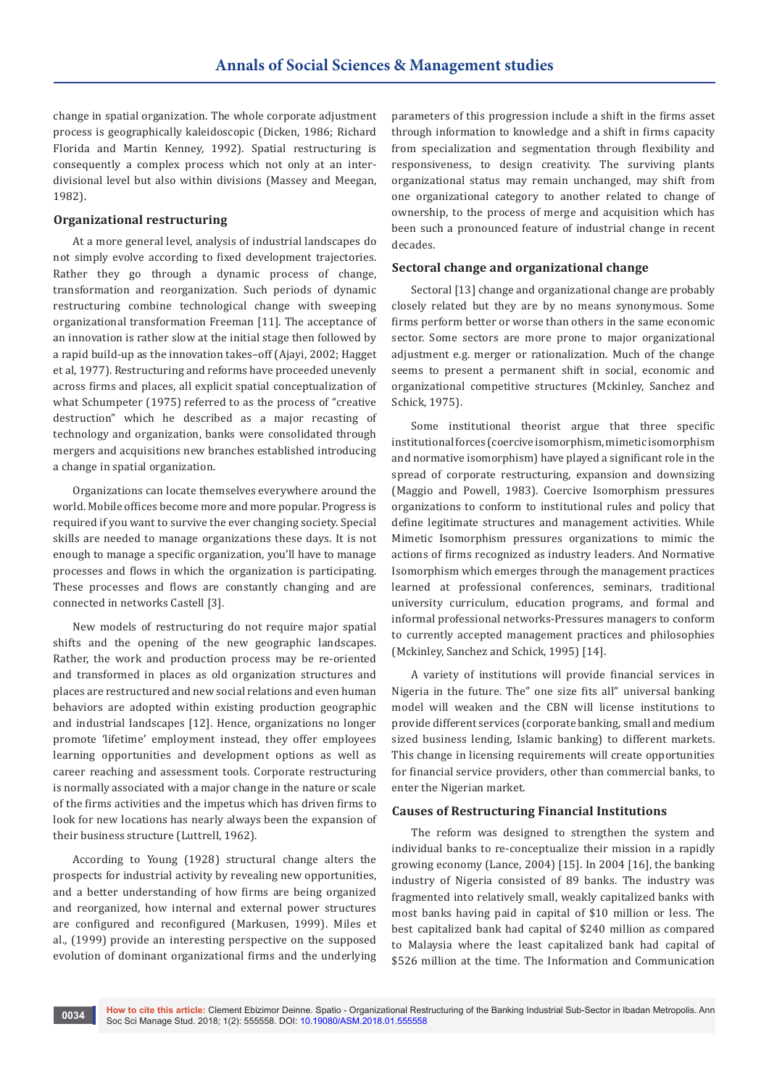change in spatial organization. The whole corporate adjustment process is geographically kaleidoscopic (Dicken, 1986; Richard Florida and Martin Kenney, 1992). Spatial restructuring is consequently a complex process which not only at an interdivisional level but also within divisions (Massey and Meegan, 1982).

## **Organizational restructuring**

At a more general level, analysis of industrial landscapes do not simply evolve according to fixed development trajectories. Rather they go through a dynamic process of change, transformation and reorganization. Such periods of dynamic restructuring combine technological change with sweeping organizational transformation Freeman [11]. The acceptance of an innovation is rather slow at the initial stage then followed by a rapid build-up as the innovation takes–off (Ajayi, 2002; Hagget et al, 1977). Restructuring and reforms have proceeded unevenly across firms and places, all explicit spatial conceptualization of what Schumpeter (1975) referred to as the process of "creative destruction" which he described as a major recasting of technology and organization, banks were consolidated through mergers and acquisitions new branches established introducing a change in spatial organization.

Organizations can locate themselves everywhere around the world. Mobile offices become more and more popular. Progress is required if you want to survive the ever changing society. Special skills are needed to manage organizations these days. It is not enough to manage a specific organization, you'll have to manage processes and flows in which the organization is participating. These processes and flows are constantly changing and are connected in networks Castell [3].

New models of restructuring do not require major spatial shifts and the opening of the new geographic landscapes. Rather, the work and production process may be re-oriented and transformed in places as old organization structures and places are restructured and new social relations and even human behaviors are adopted within existing production geographic and industrial landscapes [12]. Hence, organizations no longer promote 'lifetime' employment instead, they offer employees learning opportunities and development options as well as career reaching and assessment tools. Corporate restructuring is normally associated with a major change in the nature or scale of the firms activities and the impetus which has driven firms to look for new locations has nearly always been the expansion of their business structure (Luttrell, 1962).

According to Young (1928) structural change alters the prospects for industrial activity by revealing new opportunities, and a better understanding of how firms are being organized and reorganized, how internal and external power structures are configured and reconfigured (Markusen, 1999). Miles et al., (1999) provide an interesting perspective on the supposed evolution of dominant organizational firms and the underlying parameters of this progression include a shift in the firms asset through information to knowledge and a shift in firms capacity from specialization and segmentation through flexibility and responsiveness, to design creativity. The surviving plants organizational status may remain unchanged, may shift from one organizational category to another related to change of ownership, to the process of merge and acquisition which has been such a pronounced feature of industrial change in recent decades.

#### **Sectoral change and organizational change**

Sectoral [13] change and organizational change are probably closely related but they are by no means synonymous. Some firms perform better or worse than others in the same economic sector. Some sectors are more prone to major organizational adjustment e.g. merger or rationalization. Much of the change seems to present a permanent shift in social, economic and organizational competitive structures (Mckinley, Sanchez and Schick, 1975).

Some institutional theorist argue that three specific institutional forces (coercive isomorphism, mimetic isomorphism and normative isomorphism) have played a significant role in the spread of corporate restructuring, expansion and downsizing (Maggio and Powell, 1983). Coercive Isomorphism pressures organizations to conform to institutional rules and policy that define legitimate structures and management activities. While Mimetic Isomorphism pressures organizations to mimic the actions of firms recognized as industry leaders. And Normative Isomorphism which emerges through the management practices learned at professional conferences, seminars, traditional university curriculum, education programs, and formal and informal professional networks-Pressures managers to conform to currently accepted management practices and philosophies (Mckinley, Sanchez and Schick, 1995) [14].

A variety of institutions will provide financial services in Nigeria in the future. The" one size fits all" universal banking model will weaken and the CBN will license institutions to provide different services (corporate banking, small and medium sized business lending, Islamic banking) to different markets. This change in licensing requirements will create opportunities for financial service providers, other than commercial banks, to enter the Nigerian market.

#### **Causes of Restructuring Financial Institutions**

The reform was designed to strengthen the system and individual banks to re-conceptualize their mission in a rapidly growing economy (Lance, 2004) [15]. In 2004 [16], the banking industry of Nigeria consisted of 89 banks. The industry was fragmented into relatively small, weakly capitalized banks with most banks having paid in capital of \$10 million or less. The best capitalized bank had capital of \$240 million as compared to Malaysia where the least capitalized bank had capital of \$526 million at the time. The Information and Communication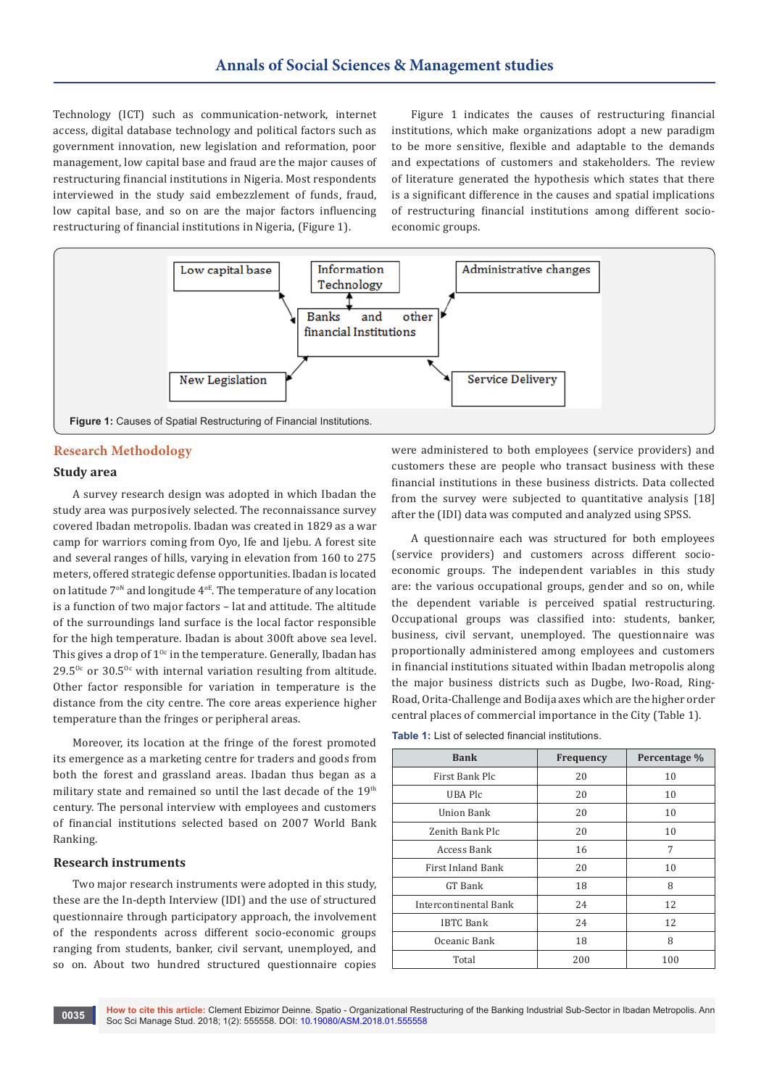Technology (ICT) such as communication-network, internet access, digital database technology and political factors such as government innovation, new legislation and reformation, poor management, low capital base and fraud are the major causes of restructuring financial institutions in Nigeria. Most respondents interviewed in the study said embezzlement of funds, fraud, low capital base, and so on are the major factors influencing restructuring of financial institutions in Nigeria, (Figure 1).

Figure 1 indicates the causes of restructuring financial institutions, which make organizations adopt a new paradigm to be more sensitive, flexible and adaptable to the demands and expectations of customers and stakeholders. The review of literature generated the hypothesis which states that there is a significant difference in the causes and spatial implications of restructuring financial institutions among different socioeconomic groups.



#### **Research Methodology**

## **Study area**

A survey research design was adopted in which Ibadan the study area was purposively selected. The reconnaissance survey covered Ibadan metropolis. Ibadan was created in 1829 as a war camp for warriors coming from Oyo, Ife and Ijebu. A forest site and several ranges of hills, varying in elevation from 160 to 275 meters, offered strategic defense opportunities. Ibadan is located on latitude  $7^{\circ}$ <sup>N</sup> and longitude  $4^{\circ}$ E. The temperature of any location is a function of two major factors – lat and attitude. The altitude of the surroundings land surface is the local factor responsible for the high temperature. Ibadan is about 300ft above sea level. This gives a drop of  $1^{0c}$  in the temperature. Generally, Ibadan has  $29.5^{\circ}$  or  $30.5^{\circ}$  with internal variation resulting from altitude. Other factor responsible for variation in temperature is the distance from the city centre. The core areas experience higher temperature than the fringes or peripheral areas.

Moreover, its location at the fringe of the forest promoted its emergence as a marketing centre for traders and goods from both the forest and grassland areas. Ibadan thus began as a military state and remained so until the last decade of the 19<sup>th</sup> century. The personal interview with employees and customers of financial institutions selected based on 2007 World Bank Ranking.

#### **Research instruments**

Two major research instruments were adopted in this study, these are the In-depth Interview (IDI) and the use of structured questionnaire through participatory approach, the involvement of the respondents across different socio-economic groups ranging from students, banker, civil servant, unemployed, and so on. About two hundred structured questionnaire copies

were administered to both employees (service providers) and customers these are people who transact business with these financial institutions in these business districts. Data collected from the survey were subjected to quantitative analysis [18] after the (IDI) data was computed and analyzed using SPSS.

A questionnaire each was structured for both employees (service providers) and customers across different socioeconomic groups. The independent variables in this study are: the various occupational groups, gender and so on, while the dependent variable is perceived spatial restructuring. Occupational groups was classified into: students, banker, business, civil servant, unemployed. The questionnaire was proportionally administered among employees and customers in financial institutions situated within Ibadan metropolis along the major business districts such as Dugbe, Iwo-Road, Ring-Road, Orita-Challenge and Bodija axes which are the higher order central places of commercial importance in the City (Table 1).

**Table 1:** List of selected financial institutions.

| <b>Bank</b>           | Frequency | Percentage % |  |
|-----------------------|-----------|--------------|--|
| First Bank Plc        | 20        | 10           |  |
| UBA Plc               | 20        | 10           |  |
| Union Bank            | 20        | 10           |  |
| Zenith Bank Plc       | 20        | 10           |  |
| Access Bank           | 16        | 7            |  |
| First Inland Bank     | 20        | 10           |  |
| GT Bank               | 18        | 8            |  |
| Intercontinental Bank | 24        | 12           |  |
| <b>IBTC Bank</b>      | 24        | 12           |  |
| Oceanic Bank          | 18        | 8            |  |
| Total                 | 200       | 100          |  |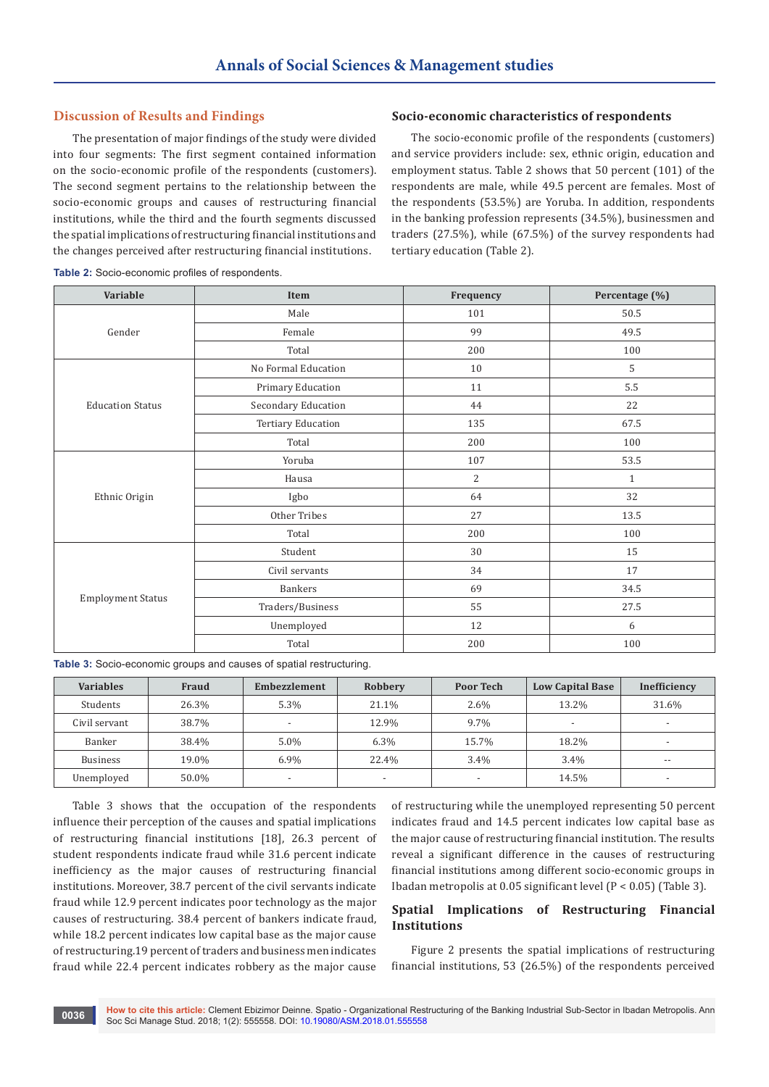# **Discussion of Results and Findings**

The presentation of major findings of the study were divided into four segments: The first segment contained information on the socio-economic profile of the respondents (customers). The second segment pertains to the relationship between the socio-economic groups and causes of restructuring financial institutions, while the third and the fourth segments discussed the spatial implications of restructuring financial institutions and the changes perceived after restructuring financial institutions.

## **Socio-economic characteristics of respondents**

The socio-economic profile of the respondents (customers) and service providers include: sex, ethnic origin, education and employment status. Table 2 shows that 50 percent (101) of the respondents are male, while 49.5 percent are females. Most of the respondents (53.5%) are Yoruba. In addition, respondents in the banking profession represents (34.5%), businessmen and traders (27.5%), while (67.5%) of the survey respondents had tertiary education (Table 2).

| Variable                 | Item                | Frequency      | Percentage (%) |  |
|--------------------------|---------------------|----------------|----------------|--|
|                          | Male                | 101            | $50.5\,$       |  |
| Gender                   | Female              | 99             | 49.5           |  |
|                          | Total               | 200            | 100            |  |
| <b>Education Status</b>  | No Formal Education | 10             | 5              |  |
|                          | Primary Education   | 11             | 5.5            |  |
|                          | Secondary Education | 44             | 22             |  |
|                          | Tertiary Education  | 135            | 67.5           |  |
|                          | Total               | 200            | 100            |  |
| Ethnic Origin            | Yoruba              | 107            | 53.5           |  |
|                          | Hausa               | $\overline{2}$ | $\mathbf{1}$   |  |
|                          | Igbo                | 64             | 32             |  |
|                          | Other Tribes        | 27             | 13.5           |  |
|                          | Total               | 200            | 100            |  |
| <b>Employment Status</b> | Student             | 30             | 15             |  |
|                          | Civil servants      | 34             | 17             |  |
|                          | <b>Bankers</b>      | 69             |                |  |
|                          | Traders/Business    | 55             | 27.5           |  |
|                          | Unemployed          | 12             | 6              |  |
|                          | Total               | 200            | 100            |  |

**Table 2:** Socio-economic profiles of respondents.

**Table 3:** Socio-economic groups and causes of spatial restructuring.

| <b>Variables</b> | <b>Fraud</b> | Embezzlement             | Robbery                  | <b>Poor Tech</b>         | <b>Low Capital Base</b>  | Inefficiency             |
|------------------|--------------|--------------------------|--------------------------|--------------------------|--------------------------|--------------------------|
| Students         | 26.3%        | 5.3%                     | 21.1%                    | $2.6\%$                  | 13.2%                    | 31.6%                    |
| Civil servant    | 38.7%        | . .                      | 12.9%                    | 9.7%                     | $\overline{\phantom{a}}$ |                          |
| Banker           | 38.4%        | $5.0\%$                  | 6.3%                     | 15.7%                    | 18.2%                    |                          |
| <b>Business</b>  | 19.0%        | $6.9\%$                  | 22.4%                    | $3.4\%$                  | 3.4%                     | $- -$                    |
| Unemployed       | 50.0%        | $\overline{\phantom{a}}$ | $\overline{\phantom{0}}$ | $\overline{\phantom{a}}$ | 14.5%                    | $\overline{\phantom{0}}$ |

Table 3 shows that the occupation of the respondents influence their perception of the causes and spatial implications of restructuring financial institutions [18], 26.3 percent of student respondents indicate fraud while 31.6 percent indicate inefficiency as the major causes of restructuring financial institutions. Moreover, 38.7 percent of the civil servants indicate fraud while 12.9 percent indicates poor technology as the major causes of restructuring. 38.4 percent of bankers indicate fraud, while 18.2 percent indicates low capital base as the major cause of restructuring.19 percent of traders and business men indicates fraud while 22.4 percent indicates robbery as the major cause

of restructuring while the unemployed representing 50 percent indicates fraud and 14.5 percent indicates low capital base as the major cause of restructuring financial institution. The results reveal a significant difference in the causes of restructuring financial institutions among different socio-economic groups in Ibadan metropolis at 0.05 significant level (P < 0.05) (Table 3).

# **Spatial Implications of Restructuring Financial Institutions**

Figure 2 presents the spatial implications of restructuring financial institutions, 53 (26.5%) of the respondents perceived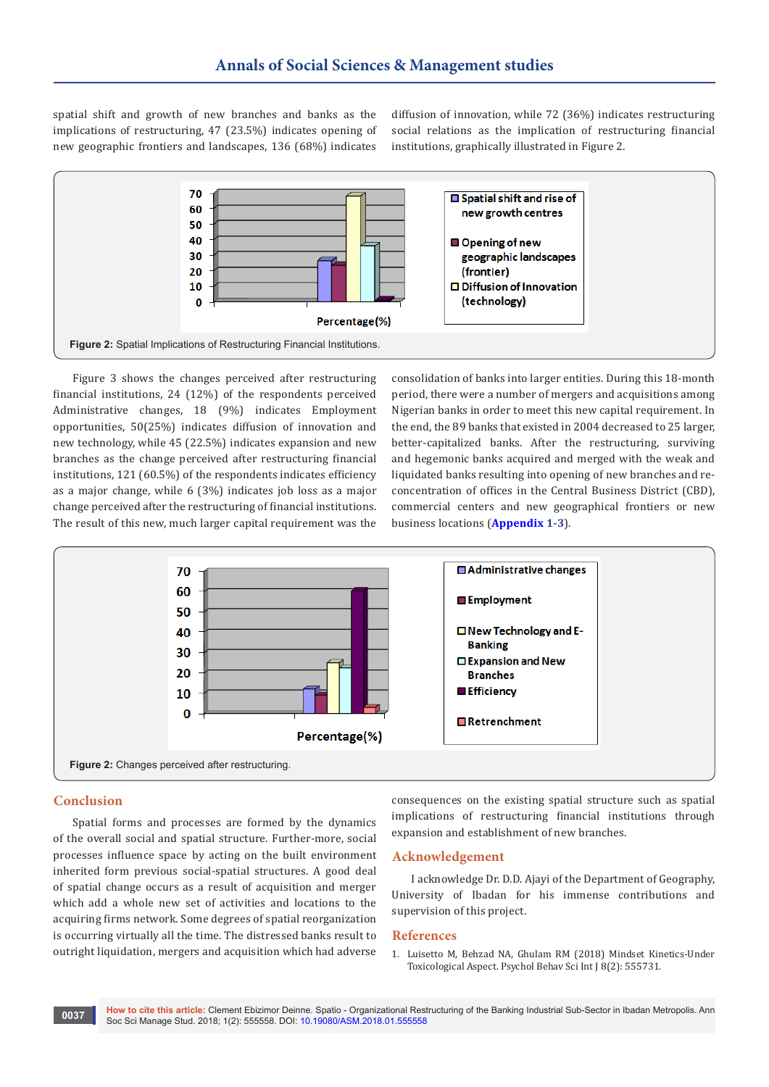spatial shift and growth of new branches and banks as the implications of restructuring, 47 (23.5%) indicates opening of new geographic frontiers and landscapes, 136 (68%) indicates

diffusion of innovation, while 72 (36%) indicates restructuring social relations as the implication of restructuring financial institutions, graphically illustrated in Figure 2.



Figure 3 shows the changes perceived after restructuring financial institutions, 24 (12%) of the respondents perceived Administrative changes, 18 (9%) indicates Employment opportunities, 50(25%) indicates diffusion of innovation and new technology, while 45 (22.5%) indicates expansion and new branches as the change perceived after restructuring financial institutions, 121 (60.5%) of the respondents indicates efficiency as a major change, while 6 (3%) indicates job loss as a major change perceived after the restructuring of financial institutions. The result of this new, much larger capital requirement was the

consolidation of banks into larger entities. During this 18-month period, there were a number of mergers and acquisitions among Nigerian banks in order to meet this new capital requirement. In the end, the 89 banks that existed in 2004 decreased to 25 larger, better-capitalized banks. After the restructuring, surviving and hegemonic banks acquired and merged with the weak and liquidated banks resulting into opening of new branches and reconcentration of offices in the Central Business District (CBD), commercial centers and new geographical frontiers or new business locations (**[Appendix](https://juniperpublishers.com/asm/pdf/Appendixs.pdf) 1-3**).



#### **Conclusion**

Spatial forms and processes are formed by the dynamics of the overall social and spatial structure. Further-more, social processes influence space by acting on the built environment inherited form previous social-spatial structures. A good deal of spatial change occurs as a result of acquisition and merger which add a whole new set of activities and locations to the acquiring firms network. Some degrees of spatial reorganization is occurring virtually all the time. The distressed banks result to outright liquidation, mergers and acquisition which had adverse

consequences on the existing spatial structure such as spatial implications of restructuring financial institutions through expansion and establishment of new branches.

#### **Acknowledgement**

I acknowledge Dr. D.D. Ajayi of the Department of Geography, University of Ibadan for his immense contributions and supervision of this project.

#### **References**

1. [Luisetto M, Behzad NA, Ghulam RM \(2018\) Mindset Kinetics-Under](https://juniperpublishers.com/pbsij/pdf/PBSIJ.MS.ID.555731.pdf)  [Toxicological Aspect. Psychol Behav Sci Int J 8\(2\): 555731.](https://juniperpublishers.com/pbsij/pdf/PBSIJ.MS.ID.555731.pdf)